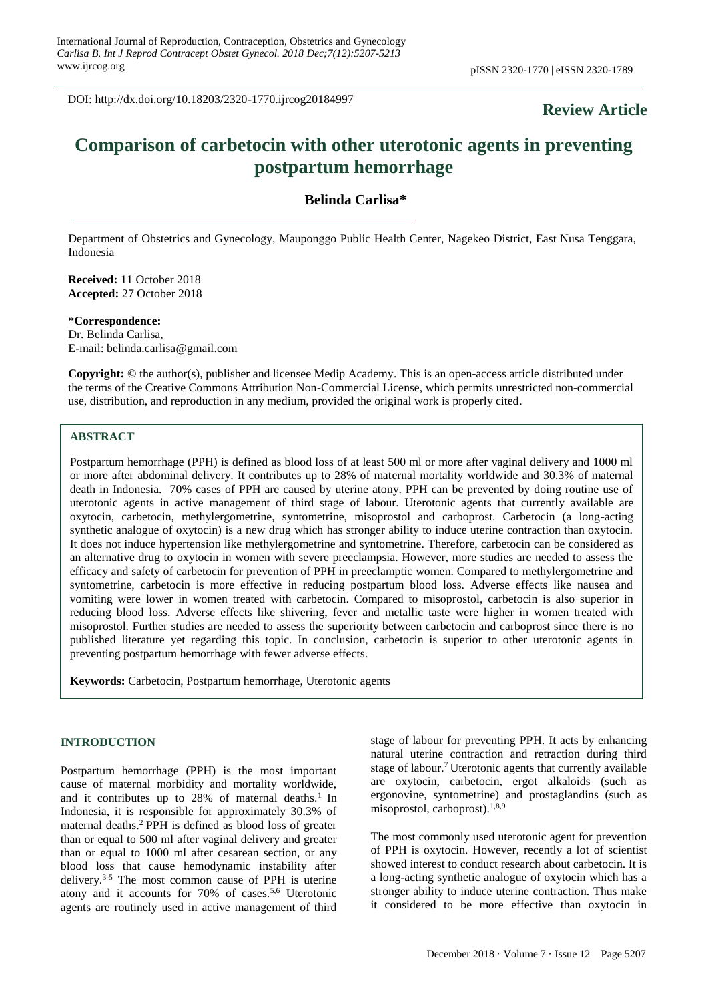DOI: http://dx.doi.org/10.18203/2320-1770.ijrcog20184997

# **Review Article**

# **Comparison of carbetocin with other uterotonic agents in preventing postpartum hemorrhage**

# **Belinda Carlisa\***

Department of Obstetrics and Gynecology, Mauponggo Public Health Center, Nagekeo District, East Nusa Tenggara, Indonesia

**Received:** 11 October 2018 **Accepted:** 27 October 2018

**\*Correspondence:** Dr. Belinda Carlisa, E-mail: belinda.carlisa@gmail.com

**Copyright:** © the author(s), publisher and licensee Medip Academy. This is an open-access article distributed under the terms of the Creative Commons Attribution Non-Commercial License, which permits unrestricted non-commercial use, distribution, and reproduction in any medium, provided the original work is properly cited.

# **ABSTRACT**

Postpartum hemorrhage (PPH) is defined as blood loss of at least 500 ml or more after vaginal delivery and 1000 ml or more after abdominal delivery. It contributes up to 28% of maternal mortality worldwide and 30.3% of maternal death in Indonesia. 70% cases of PPH are caused by uterine atony. PPH can be prevented by doing routine use of uterotonic agents in active management of third stage of labour. Uterotonic agents that currently available are oxytocin, carbetocin, methylergometrine, syntometrine, misoprostol and carboprost. Carbetocin (a long-acting synthetic analogue of oxytocin) is a new drug which has stronger ability to induce uterine contraction than oxytocin. It does not induce hypertension like methylergometrine and syntometrine. Therefore, carbetocin can be considered as an alternative drug to oxytocin in women with severe preeclampsia. However, more studies are needed to assess the efficacy and safety of carbetocin for prevention of PPH in preeclamptic women. Compared to methylergometrine and syntometrine, carbetocin is more effective in reducing postpartum blood loss. Adverse effects like nausea and vomiting were lower in women treated with carbetocin. Compared to misoprostol, carbetocin is also superior in reducing blood loss. Adverse effects like shivering, fever and metallic taste were higher in women treated with misoprostol. Further studies are needed to assess the superiority between carbetocin and carboprost since there is no published literature yet regarding this topic. In conclusion, carbetocin is superior to other uterotonic agents in preventing postpartum hemorrhage with fewer adverse effects.

**Keywords:** Carbetocin, Postpartum hemorrhage, Uterotonic agents

#### **INTRODUCTION**

Postpartum hemorrhage (PPH) is the most important cause of maternal morbidity and mortality worldwide, and it contributes up to  $28%$  of maternal deaths.<sup>1</sup> In Indonesia, it is responsible for approximately 30.3% of maternal deaths.<sup>2</sup> PPH is defined as blood loss of greater than or equal to 500 ml after vaginal delivery and greater than or equal to 1000 ml after cesarean section, or any blood loss that cause hemodynamic instability after delivery.3-5 The most common cause of PPH is uterine atony and it accounts for 70% of cases.5,6 Uterotonic agents are routinely used in active management of third stage of labour for preventing PPH. It acts by enhancing natural uterine contraction and retraction during third stage of labour.<sup>7</sup> Uterotonic agents that currently available are oxytocin, carbetocin, ergot alkaloids (such as ergonovine, syntometrine) and prostaglandins (such as misoprostol, carboprost). $1,8,9$ 

The most commonly used uterotonic agent for prevention of PPH is oxytocin. However, recently a lot of scientist showed interest to conduct research about carbetocin. It is a long-acting synthetic analogue of oxytocin which has a stronger ability to induce uterine contraction. Thus make it considered to be more effective than oxytocin in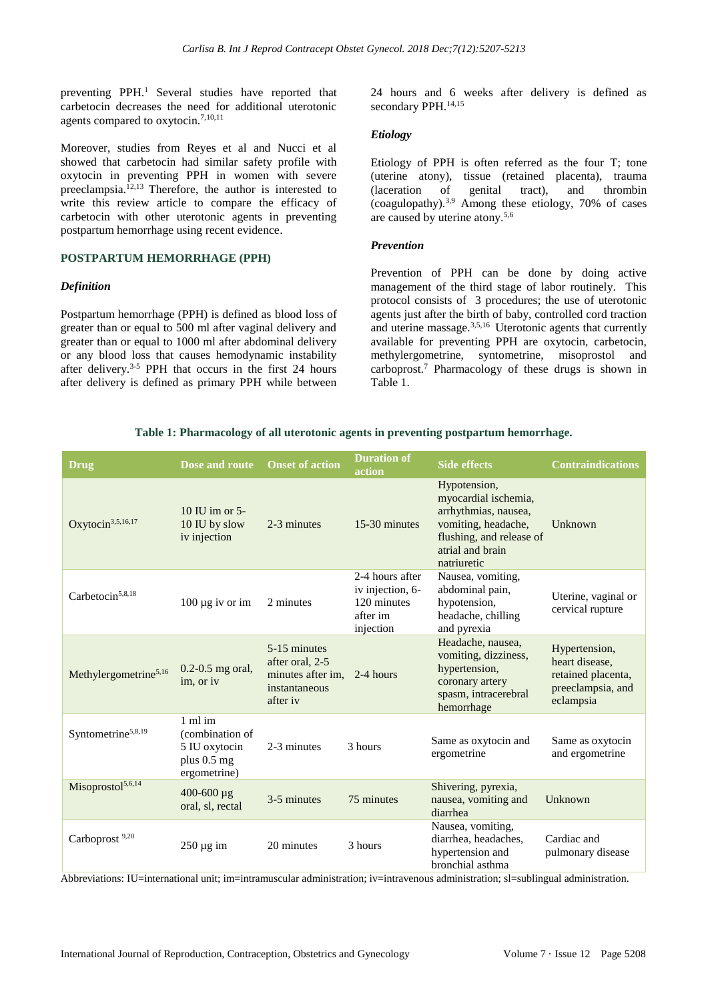preventing PPH.<sup>1</sup> Several studies have reported that carbetocin decreases the need for additional uterotonic agents compared to oxytocin.7,10,11

Moreover, studies from Reyes et al and Nucci et al showed that carbetocin had similar safety profile with oxytocin in preventing PPH in women with severe preeclampsia.12,13 Therefore, the author is interested to write this review article to compare the efficacy of carbetocin with other uterotonic agents in preventing postpartum hemorrhage using recent evidence.

#### **POSTPARTUM HEMORRHAGE (PPH)**

#### *Definition*

Postpartum hemorrhage (PPH) is defined as blood loss of greater than or equal to 500 ml after vaginal delivery and greater than or equal to 1000 ml after abdominal delivery or any blood loss that causes hemodynamic instability after delivery.3-5 PPH that occurs in the first 24 hours after delivery is defined as primary PPH while between 24 hours and 6 weeks after delivery is defined as secondary PPH.<sup>14,15</sup>

#### *Etiology*

Etiology of PPH is often referred as the four T; tone (uterine atony), tissue (retained placenta), trauma (laceration of genital tract), and thrombin (coagulopathy).3,9 Among these etiology, 70% of cases are caused by uterine atony.5,6

#### *Prevention*

Prevention of PPH can be done by doing active management of the third stage of labor routinely. This protocol consists of 3 procedures; the use of uterotonic agents just after the birth of baby, controlled cord traction and uterine massage.3,5,16 Uterotonic agents that currently available for preventing PPH are oxytocin, carbetocin, methylergometrine, syntometrine, misoprostol and carboprost.<sup>7</sup> Pharmacology of these drugs is shown in Table 1.

| <b>Drug</b>                       | Dose and route                                                                       | <b>Onset of action</b>                                                                      | <b>Duration of</b><br>action                                                | <b>Side effects</b>                                                                                                                                | <b>Contraindications</b>                                                                |
|-----------------------------------|--------------------------------------------------------------------------------------|---------------------------------------------------------------------------------------------|-----------------------------------------------------------------------------|----------------------------------------------------------------------------------------------------------------------------------------------------|-----------------------------------------------------------------------------------------|
| Oxytocin <sup>3,5,16,17</sup>     | 10 IU im or $5-$<br>10 IU by slow<br>iv injection                                    | 2-3 minutes                                                                                 | 15-30 minutes                                                               | Hypotension,<br>myocardial ischemia,<br>arrhythmias, nausea,<br>vomiting, headache,<br>flushing, and release of<br>atrial and brain<br>natriuretic | Unknown                                                                                 |
| Carbetocin <sup>5,8,18</sup>      | $100 \mu g$ iv or im                                                                 | 2 minutes                                                                                   | 2-4 hours after<br>iv injection, 6-<br>120 minutes<br>after im<br>injection | Nausea, vomiting,<br>abdominal pain,<br>hypotension,<br>headache, chilling<br>and pyrexia                                                          | Uterine, vaginal or<br>cervical rupture                                                 |
| Methylergometrine <sup>5,16</sup> | $0.2 - 0.5$ mg oral,<br>im, or iv                                                    | 5-15 minutes<br>after oral, 2-5<br>minutes after im, 2-4 hours<br>instantaneous<br>after iv |                                                                             | Headache, nausea,<br>vomiting, dizziness,<br>hypertension,<br>coronary artery<br>spasm, intracerebral<br>hemorrhage                                | Hypertension,<br>heart disease.<br>retained placenta,<br>preeclampsia, and<br>eclampsia |
| Syntometrine <sup>5,8,19</sup>    | $1 \text{ ml}$ im<br>(combination of<br>5 IU oxytocin<br>plus 0.5 mg<br>ergometrine) | 2-3 minutes                                                                                 | 3 hours                                                                     | Same as oxytocin and<br>ergometrine                                                                                                                | Same as oxytocin<br>and ergometrine                                                     |
| Misoprostol <sup>5,6,14</sup>     | $400 - 600 \mu g$<br>oral, sl, rectal                                                | 3-5 minutes                                                                                 | 75 minutes                                                                  | Shivering, pyrexia,<br>nausea, vomiting and<br>diarrhea                                                                                            | Unknown                                                                                 |
| Carboprost <sup>9,20</sup>        | $250 \,\mu g$ im                                                                     | 20 minutes                                                                                  | 3 hours                                                                     | Nausea, vomiting,<br>diarrhea, headaches,<br>hypertension and<br>bronchial asthma<br>the contract of the contract of the<br>$\cdots$               | Cardiac and<br>pulmonary disease                                                        |

# **Table 1: Pharmacology of all uterotonic agents in preventing postpartum hemorrhage.**

Abbreviations: IU=international unit; im=intramuscular administration; iv=intravenous administration; sl=sublingual administration.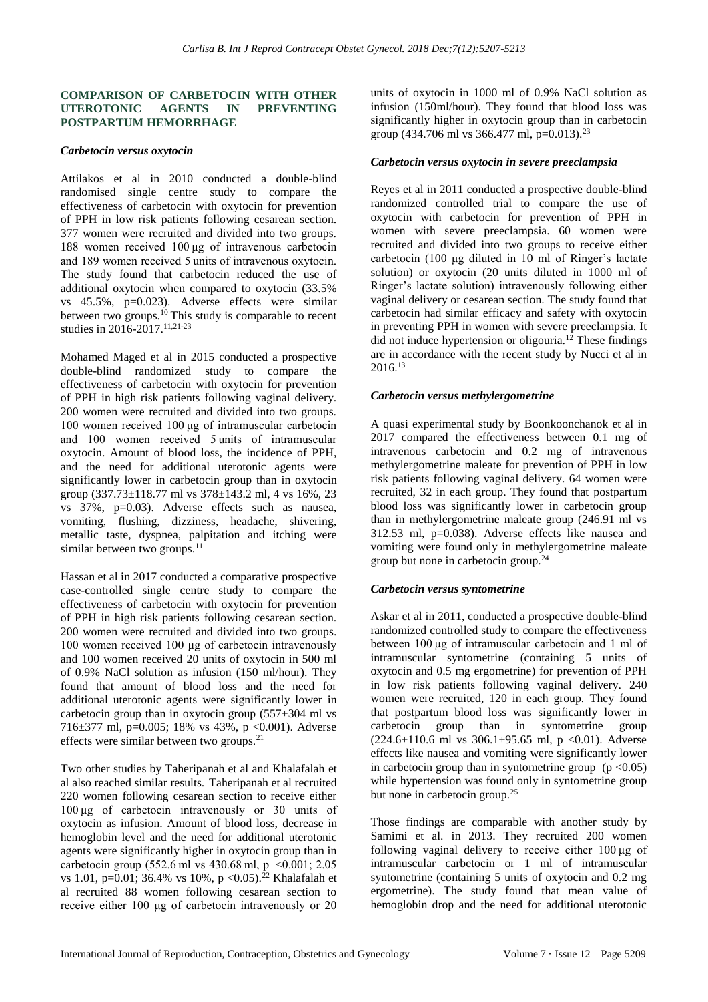#### **COMPARISON OF CARBETOCIN WITH OTHER UTEROTONIC AGENTS IN PREVENTING POSTPARTUM HEMORRHAGE**

#### *Carbetocin versus oxytocin*

Attilakos et al in 2010 conducted a double-blind randomised single centre study to compare the effectiveness of carbetocin with oxytocin for prevention of PPH in low risk patients following cesarean section. 377 women were recruited and divided into two groups. 188 women received 100 μg of intravenous carbetocin and 189 women received 5 units of intravenous oxytocin. The study found that carbetocin reduced the use of additional oxytocin when compared to oxytocin (33.5% vs 45.5%, p=0.023). Adverse effects were similar between two groups.<sup>10</sup> This study is comparable to recent studies in 2016-2017.11,21-23

Mohamed Maged et al in 2015 conducted a prospective double-blind randomized study to compare the effectiveness of carbetocin with oxytocin for prevention of PPH in high risk patients following vaginal delivery. 200 women were recruited and divided into two groups. 100 women received 100 μg of intramuscular carbetocin and 100 women received 5 units of intramuscular oxytocin. Amount of blood loss, the incidence of PPH, and the need for additional uterotonic agents were significantly lower in carbetocin group than in oxytocin group (337.73±118.77 ml vs 378±143.2 ml, 4 vs 16%, 23 vs 37%, p=0.03). Adverse effects such as nausea, vomiting, flushing, dizziness, headache, shivering, metallic taste, dyspnea, palpitation and itching were similar between two groups.<sup>11</sup>

Hassan et al in 2017 conducted a comparative prospective case-controlled single centre study to compare the effectiveness of carbetocin with oxytocin for prevention of PPH in high risk patients following cesarean section. 200 women were recruited and divided into two groups. 100 women received 100 μg of carbetocin intravenously and 100 women received 20 units of oxytocin in 500 ml of 0.9% NaCl solution as infusion (150 ml/hour). They found that amount of blood loss and the need for additional uterotonic agents were significantly lower in carbetocin group than in oxytocin group  $(557\pm304 \text{ ml vs.})$ 716±377 ml, p=0.005; 18% vs 43%, p <0.001). Adverse effects were similar between two groups.<sup>21</sup>

Two other studies by Taheripanah et al and Khalafalah et al also reached similar results. Taheripanah et al recruited 220 women following cesarean section to receive either 100 μg of carbetocin intravenously or 30 units of oxytocin as infusion. Amount of blood loss, decrease in hemoglobin level and the need for additional uterotonic agents were significantly higher in oxytocin group than in carbetocin group (552.6 ml vs 430.68 ml, p  <0.001; 2.05 vs 1.01, p=0.01; 36.4% vs 10%, p < 0.05).<sup>22</sup> Khalafalah et al recruited 88 women following cesarean section to receive either 100 μg of carbetocin intravenously or 20 units of oxytocin in 1000 ml of 0.9% NaCl solution as infusion (150ml/hour). They found that blood loss was significantly higher in oxytocin group than in carbetocin group (434.706 ml vs 366.477 ml, p=0.013).<sup>23</sup>

## *Carbetocin versus oxytocin in severe preeclampsia*

Reyes et al in 2011 conducted a prospective double-blind randomized controlled trial to compare the use of oxytocin with carbetocin for prevention of PPH in women with severe preeclampsia. 60 women were recruited and divided into two groups to receive either carbetocin (100 μg diluted in 10 ml of Ringer's lactate solution) or oxytocin (20 units diluted in 1000 ml of Ringer's lactate solution) intravenously following either vaginal delivery or cesarean section. The study found that carbetocin had similar efficacy and safety with oxytocin in preventing PPH in women with severe preeclampsia. It did not induce hypertension or oligouria.<sup>12</sup> These findings are in accordance with the recent study by Nucci et al in 2016.<sup>13</sup>

## *Carbetocin versus methylergometrine*

A quasi experimental study by Boonkoonchanok et al in 2017 compared the effectiveness between 0.1 mg of intravenous carbetocin and 0.2 mg of intravenous methylergometrine maleate for prevention of PPH in low risk patients following vaginal delivery. 64 women were recruited, 32 in each group. They found that postpartum blood loss was significantly lower in carbetocin group than in methylergometrine maleate group (246.91 ml vs 312.53 ml, p=0.038). Adverse effects like nausea and vomiting were found only in methylergometrine maleate group but none in carbetocin group.<sup>24</sup>

## *Carbetocin versus syntometrine*

[Askar](https://www.ncbi.nlm.nih.gov/pubmed/?term=Askar%20AA%5BAuthor%5D&cauthor=true&cauthor_uid=21336835) et al in 2011, conducted a prospective double-blind randomized controlled study to compare the effectiveness between 100 μg of intramuscular carbetocin and 1 ml of intramuscular syntometrine (containing 5 units of oxytocin and 0.5 mg ergometrine) for prevention of PPH in low risk patients following vaginal delivery. 240 women were recruited, 120 in each group. They found that postpartum blood loss was significantly lower in carbetocin group than in syntometrine group  $(224.6 \pm 110.6 \text{ ml} \text{ vs } 306.1 \pm 95.65 \text{ ml}, \text{ p } < 0.01)$ . Adverse effects like nausea and vomiting were significantly lower in carbetocin group than in syntometrine group  $(p < 0.05)$ while hypertension was found only in syntometrine group but none in carbetocin group.<sup>25</sup>

Those findings are comparable with another study by Samimi et al. in 2013. They recruited 200 women following vaginal delivery to receive either 100 μg of intramuscular carbetocin or 1 ml of intramuscular syntometrine (containing 5 units of oxytocin and 0.2 mg ergometrine). The study found that mean value of hemoglobin drop and the need for additional uterotonic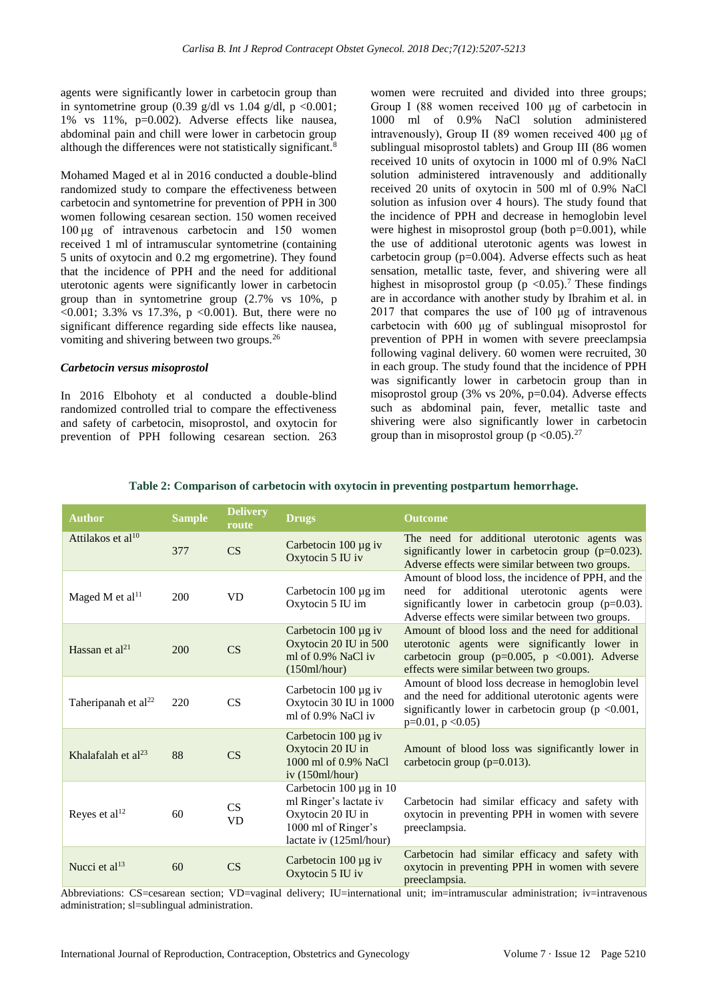agents were significantly lower in carbetocin group than in syntometrine group  $(0.39 \text{ g/dl vs } 1.04 \text{ g/dl}, p < 0.001$ ; 1% vs 11%, p=0.002). Adverse effects like nausea, abdominal pain and chill were lower in carbetocin group although the differences were not statistically significant.<sup>8</sup>

Mohamed Maged et al in 2016 conducted a double-blind randomized study to compare the effectiveness between carbetocin and syntometrine for prevention of PPH in 300 women following cesarean section. 150 women received 100 μg of intravenous carbetocin and 150 women received 1 ml of intramuscular syntometrine (containing 5 units of oxytocin and 0.2 mg ergometrine). They found that the incidence of PPH and the need for additional uterotonic agents were significantly lower in carbetocin group than in syntometrine group (2.7% vs 10%, p  $\leq 0.001$ ; 3.3% vs 17.3%, p  $\leq 0.001$ ). But, there were no significant difference regarding side effects like nausea, vomiting and shivering between two groups.<sup>26</sup>

#### *Carbetocin versus misoprostol*

In 2016 Elbohoty et al conducted a double-blind randomized controlled trial to compare the effectiveness and safety of carbetocin, misoprostol, and oxytocin for prevention of PPH following cesarean section. 263 women were recruited and divided into three groups; Group I (88 women received 100 μg of carbetocin in 1000 ml of 0.9% NaCl solution administered intravenously), Group II (89 women received 400 μg of sublingual misoprostol tablets) and Group III (86 women received 10 units of oxytocin in 1000 ml of 0.9% NaCl solution administered intravenously and additionally received 20 units of oxytocin in 500 ml of 0.9% NaCl solution as infusion over 4 hours). The study found that the incidence of PPH and decrease in hemoglobin level were highest in misoprostol group (both  $p=0.001$ ), while the use of additional uterotonic agents was lowest in carbetocin group (p=0.004). Adverse effects such as heat sensation, metallic taste, fever, and shivering were all highest in misoprostol group ( $p < 0.05$ ).<sup>7</sup> These findings are in accordance with another study by Ibrahim et al. in 2017 that compares the use of 100 μg of intravenous carbetocin with 600 μg of sublingual misoprostol for prevention of PPH in women with severe preeclampsia following vaginal delivery. 60 women were recruited, 30 in each group. The study found that the incidence of PPH was significantly lower in carbetocin group than in misoprostol group  $(3\% \text{ vs } 20\% , \text{ p=0.04})$ . Adverse effects such as abdominal pain, fever, metallic taste and shivering were also significantly lower in carbetocin group than in misoprostol group ( $p < 0.05$ ).<sup>27</sup>

| <b>Author</b>                   | <b>Sample</b> | <b>Delivery</b><br>route | <b>Drugs</b>                                                                                                                    | <b>Outcome</b>                                                                                                                                                                                                |
|---------------------------------|---------------|--------------------------|---------------------------------------------------------------------------------------------------------------------------------|---------------------------------------------------------------------------------------------------------------------------------------------------------------------------------------------------------------|
| Attilakos et al <sup>10</sup>   | 377           | CS                       | Carbetocin $100 \mu g$ iv<br>Oxytocin 5 IU iv                                                                                   | The need for additional uterotonic agents was<br>significantly lower in carbetocin group $(p=0.023)$ .<br>Adverse effects were similar between two groups.                                                    |
| Maged M et al $^{11}$           | 200           | <b>VD</b>                | Carbetocin 100 µg im<br>Oxytocin 5 IU im                                                                                        | Amount of blood loss, the incidence of PPH, and the<br>need for additional uterotonic agents were<br>significantly lower in carbetocin group $(p=0.03)$ .<br>Adverse effects were similar between two groups. |
| Hassan et $al^{21}$             | 200           | CS                       | Carbetocin $100 \mu g$ iv<br>Oxytocin 20 IU in 500<br>ml of 0.9% NaCl iv<br>(150ml/hour)                                        | Amount of blood loss and the need for additional<br>uterotonic agents were significantly lower in<br>carbetocin group ( $p=0.005$ , $p < 0.001$ ). Adverse<br>effects were similar between two groups.        |
| Taheripanah et al <sup>22</sup> | 220           | CS                       | Carbetocin $100 \mu g$ iv<br>Oxytocin 30 IU in 1000<br>ml of 0.9% NaCl iv                                                       | Amount of blood loss decrease in hemoglobin level<br>and the need for additional uterotonic agents were<br>significantly lower in carbetocin group ( $p \le 0.001$ ,<br>$p=0.01$ , $p < 0.05$ )               |
| Khalafalah et $al^{23}$         | 88            | CS                       | Carbetocin $100 \mu g$ iv<br>Oxytocin 20 IU in<br>1000 ml of 0.9% NaCl<br>iv $(150ml/hour)$                                     | Amount of blood loss was significantly lower in<br>carbetocin group ( $p=0.013$ ).                                                                                                                            |
| Reyes et al <sup>12</sup>       | 60            | CS<br><b>VD</b>          | Carbetocin $100 \mu g$ in $10$<br>ml Ringer's lactate iv<br>Oxytocin 20 IU in<br>1000 ml of Ringer's<br>lactate iv (125ml/hour) | Carbetocin had similar efficacy and safety with<br>oxytocin in preventing PPH in women with severe<br>preeclampsia.                                                                                           |
| Nucci et al <sup>13</sup>       | 60            | CS                       | Carbetocin $100 \mu g$ iv<br>Oxytocin 5 IU iv                                                                                   | Carbetocin had similar efficacy and safety with<br>oxytocin in preventing PPH in women with severe<br>preeclampsia.                                                                                           |

#### **Table 2: Comparison of carbetocin with oxytocin in preventing postpartum hemorrhage.**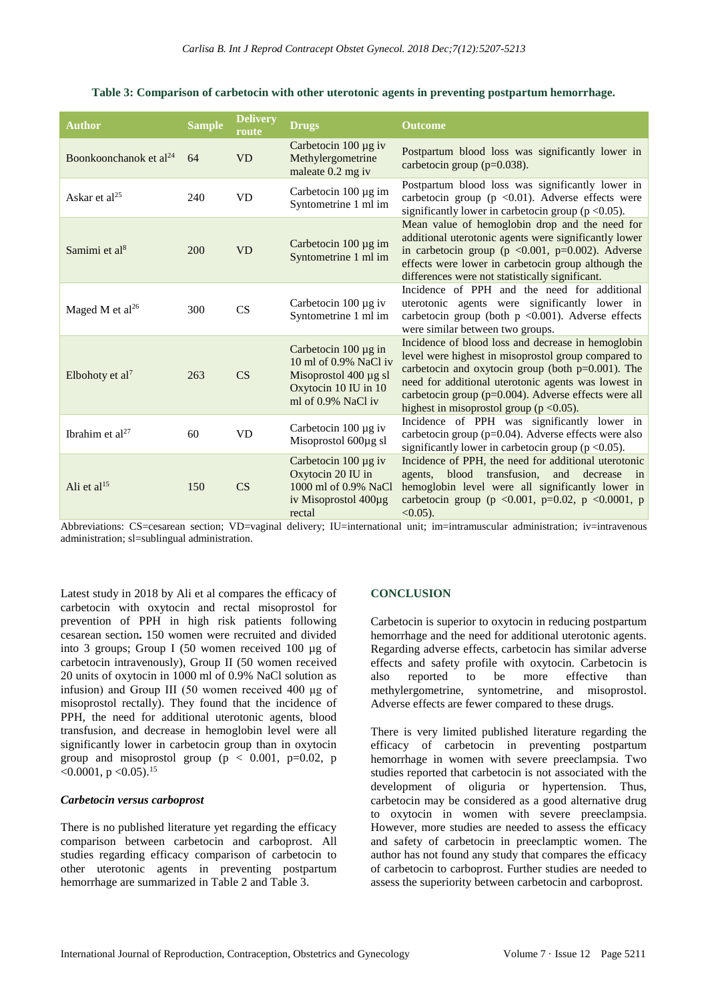| <b>Author</b>                      | <b>Sample</b> | <b>Delivery</b><br>route | <b>Drugs</b>                                                                                                              | <b>Outcome</b>                                                                                                                                                                                                                                                                                                                       |
|------------------------------------|---------------|--------------------------|---------------------------------------------------------------------------------------------------------------------------|--------------------------------------------------------------------------------------------------------------------------------------------------------------------------------------------------------------------------------------------------------------------------------------------------------------------------------------|
| Boonkoonchanok et al <sup>24</sup> | 64            | <b>VD</b>                | Carbetocin $100 \mu g$ iv<br>Methylergometrine<br>maleate 0.2 mg iv                                                       | Postpartum blood loss was significantly lower in<br>carbetocin group ( $p=0.038$ ).                                                                                                                                                                                                                                                  |
| Askar et al <sup>25</sup>          | 240           | <b>VD</b>                | Carbetocin $100 \mu g$ im<br>Syntometrine 1 ml im                                                                         | Postpartum blood loss was significantly lower in<br>carbetocin group ( $p \le 0.01$ ). Adverse effects were<br>significantly lower in carbetocin group ( $p < 0.05$ ).                                                                                                                                                               |
| Samimi et al <sup>8</sup>          | 200           | <b>VD</b>                | Carbetocin 100 µg im<br>Syntometrine 1 ml im                                                                              | Mean value of hemoglobin drop and the need for<br>additional uterotonic agents were significantly lower<br>in carbetocin group ( $p \le 0.001$ , $p=0.002$ ). Adverse<br>effects were lower in carbetocin group although the<br>differences were not statistically significant.                                                      |
| Maged M et al <sup>26</sup>        | 300           | CS                       | Carbetocin 100 µg iv<br>Syntometrine 1 ml im                                                                              | Incidence of PPH and the need for additional<br>uterotonic agents were significantly lower in<br>carbetocin group (both $p \le 0.001$ ). Adverse effects<br>were similar between two groups.                                                                                                                                         |
| Elbohoty et al <sup>7</sup>        | 263           | CS                       | Carbetocin $100 \mu g$ in<br>10 ml of 0.9% NaCl iv<br>Misoprostol 400 µg sl<br>Oxytocin 10 IU in 10<br>ml of 0.9% NaCl iv | Incidence of blood loss and decrease in hemoglobin<br>level were highest in misoprostol group compared to<br>carbetocin and oxytocin group (both $p=0.001$ ). The<br>need for additional uterotonic agents was lowest in<br>carbetocin group ( $p=0.004$ ). Adverse effects were all<br>highest in misoprostol group ( $p < 0.05$ ). |
| Ibrahim et al <sup>27</sup>        | 60            | <b>VD</b>                | Carbetocin 100 µg iv<br>Misoprostol 600µg sl                                                                              | Incidence of PPH was significantly lower in<br>carbetocin group (p=0.04). Adverse effects were also<br>significantly lower in carbetocin group ( $p < 0.05$ ).                                                                                                                                                                       |
| Ali et al <sup>15</sup>            | 150           | CS                       | Carbetocin $100 \mu g$ iv<br>Oxytocin 20 IU in<br>1000 ml of 0.9% NaCl<br>iv Misoprostol $400\mu$ g<br>rectal             | Incidence of PPH, the need for additional uterotonic<br>blood<br>transfusion.<br>and<br>decrease<br>agents.<br>in<br>hemoglobin level were all significantly lower in<br>carbetocin group ( $p \le 0.001$ , $p=0.02$ , $p \le 0.0001$ , $p$<br>$<0.05$ ).                                                                            |

Abbreviations: CS=cesarean section; VD=vaginal delivery; IU=international unit; im=intramuscular administration; iv=intravenous administration; sl=sublingual administration.

Latest study in 2018 by Ali et al compares the efficacy of carbetocin with oxytocin and rectal misoprostol for prevention of PPH in high risk patients following cesarean section**.** 150 women were recruited and divided into 3 groups; Group I (50 women received 100 µg of carbetocin intravenously), Group II (50 women received 20 units of oxytocin in 1000 ml of 0.9% NaCl solution as infusion) and Group III (50 women received 400 μg of misoprostol rectally). They found that the incidence of PPH, the need for additional uterotonic agents, blood transfusion, and decrease in hemoglobin level were all significantly lower in carbetocin group than in oxytocin group and misoprostol group ( $p < 0.001$ ,  $p=0.02$ , p  $< 0.0001$ , p $< 0.05$ ).<sup>15</sup>

#### *Carbetocin versus carboprost*

There is no published literature yet regarding the efficacy comparison between carbetocin and carboprost. All studies regarding efficacy comparison of carbetocin to other uterotonic agents in preventing postpartum hemorrhage are summarized in Table 2 and Table 3.

#### **CONCLUSION**

Carbetocin is superior to oxytocin in reducing postpartum hemorrhage and the need for additional uterotonic agents. Regarding adverse effects, carbetocin has similar adverse effects and safety profile with oxytocin. Carbetocin is also reported to be more effective than methylergometrine, syntometrine, and misoprostol. Adverse effects are fewer compared to these drugs.

There is very limited published literature regarding the efficacy of carbetocin in preventing postpartum hemorrhage in women with severe preeclampsia. Two studies reported that carbetocin is not associated with the development of oliguria or hypertension. Thus, carbetocin may be considered as a good alternative drug to oxytocin in women with severe preeclampsia. However, more studies are needed to assess the efficacy and safety of carbetocin in preeclamptic women. The author has not found any study that compares the efficacy of carbetocin to carboprost. Further studies are needed to assess the superiority between carbetocin and carboprost.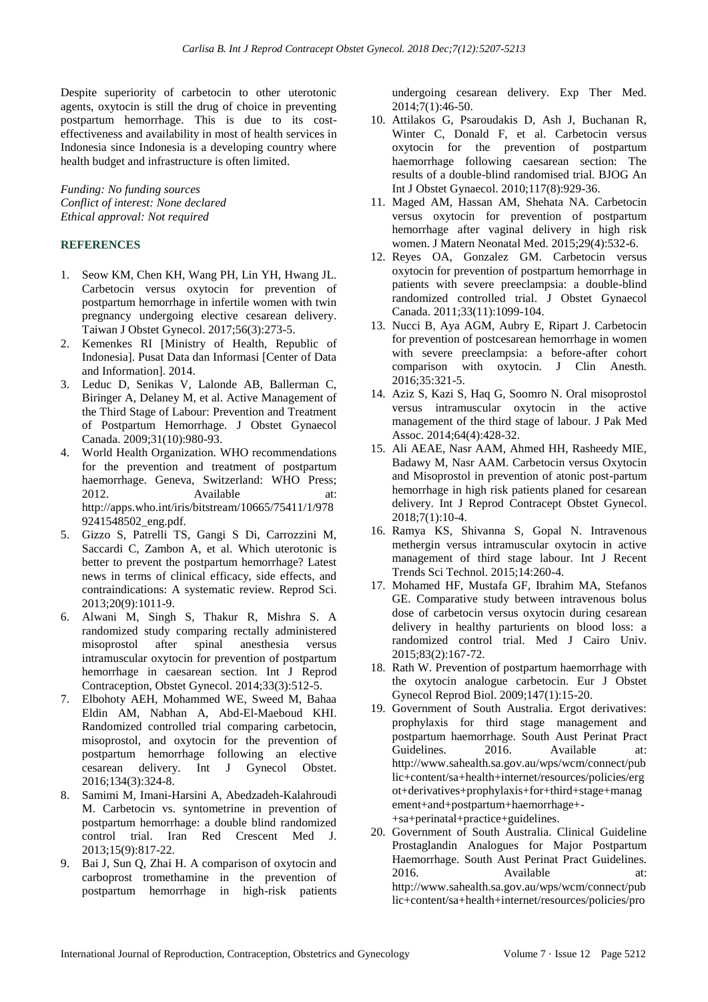Despite superiority of carbetocin to other uterotonic agents, oxytocin is still the drug of choice in preventing postpartum hemorrhage. This is due to its costeffectiveness and availability in most of health services in Indonesia since Indonesia is a developing country where health budget and infrastructure is often limited.

*Funding: No funding sources Conflict of interest: None declared Ethical approval: Not required* 

## **REFERENCES**

- 1. Seow KM, Chen KH, Wang PH, Lin YH, Hwang JL. Carbetocin versus oxytocin for prevention of postpartum hemorrhage in infertile women with twin pregnancy undergoing elective cesarean delivery. Taiwan J Obstet Gynecol. 2017;56(3):273-5.
- 2. Kemenkes RI [Ministry of Health, Republic of Indonesia]. Pusat Data dan Informasi [Center of Data and Information]. 2014.
- 3. Leduc D, Senikas V, Lalonde AB, Ballerman C, Biringer A, Delaney M, et al. Active Management of the Third Stage of Labour: Prevention and Treatment of Postpartum Hemorrhage. J Obstet Gynaecol Canada. 2009;31(10):980-93.
- 4. World Health Organization. WHO recommendations for the prevention and treatment of postpartum haemorrhage. Geneva, Switzerland: WHO Press; 2012. Available at: http://apps.who.int/iris/bitstream/10665/75411/1/978 9241548502\_eng.pdf.
- 5. Gizzo S, Patrelli TS, Gangi S Di, Carrozzini M, Saccardi C, Zambon A, et al. Which uterotonic is better to prevent the postpartum hemorrhage? Latest news in terms of clinical efficacy, side effects, and contraindications: A systematic review. Reprod Sci. 2013;20(9):1011-9.
- 6. Alwani M, Singh S, Thakur R, Mishra S. A randomized study comparing rectally administered misoprostol after spinal anesthesia versus intramuscular oxytocin for prevention of postpartum hemorrhage in caesarean section. Int J Reprod Contraception, Obstet Gynecol. 2014;33(3):512-5.
- 7. Elbohoty AEH, Mohammed WE, Sweed M, Bahaa Eldin AM, Nabhan A, Abd-El-Maeboud KHI. Randomized controlled trial comparing carbetocin, misoprostol, and oxytocin for the prevention of postpartum hemorrhage following an elective cesarean delivery. Int J Gynecol Obstet. 2016;134(3):324-8.
- 8. Samimi M, Imani-Harsini A, Abedzadeh-Kalahroudi M. Carbetocin vs. syntometrine in prevention of postpartum hemorrhage: a double blind randomized control trial. Iran Red Crescent Med J. 2013;15(9):817-22.
- 9. Bai J, Sun Q, Zhai H. A comparison of oxytocin and carboprost tromethamine in the prevention of postpartum hemorrhage in high-risk patients

undergoing cesarean delivery. Exp Ther Med. 2014;7(1):46-50.

- 10. Attilakos G, Psaroudakis D, Ash J, Buchanan R, Winter C, Donald F, et al. Carbetocin versus oxytocin for the prevention of postpartum haemorrhage following caesarean section: The results of a double-blind randomised trial. BJOG An Int J Obstet Gynaecol. 2010;117(8):929-36.
- 11. Maged AM, Hassan AM, Shehata NA. Carbetocin versus oxytocin for prevention of postpartum hemorrhage after vaginal delivery in high risk women. J Matern Neonatal Med. 2015;29(4):532-6.
- 12. Reyes OA, Gonzalez GM. Carbetocin versus oxytocin for prevention of postpartum hemorrhage in patients with severe preeclampsia: a double-blind randomized controlled trial. J Obstet Gynaecol Canada. 2011;33(11):1099-104.
- 13. Nucci B, Aya AGM, Aubry E, Ripart J. Carbetocin for prevention of postcesarean hemorrhage in women with severe preeclampsia: a before-after cohort comparison with oxytocin. J Clin Anesth. 2016;35:321-5.
- 14. Aziz S, Kazi S, Haq G, Soomro N. Oral misoprostol versus intramuscular oxytocin in the active management of the third stage of labour. J Pak Med Assoc. 2014;64(4):428-32.
- 15. Ali AEAE, Nasr AAM, Ahmed HH, Rasheedy MIE, Badawy M, Nasr AAM. Carbetocin versus Oxytocin and Misoprostol in prevention of atonic post-partum hemorrhage in high risk patients planed for cesarean delivery. Int J Reprod Contracept Obstet Gynecol. 2018;7(1):10-4.
- 16. Ramya KS, Shivanna S, Gopal N. Intravenous methergin versus intramuscular oxytocin in active management of third stage labour. Int J Recent Trends Sci Technol. 2015;14:260-4.
- 17. Mohamed HF, Mustafa GF, Ibrahim MA, Stefanos GE. Comparative study between intravenous bolus dose of carbetocin versus oxytocin during cesarean delivery in healthy parturients on blood loss: a randomized control trial. Med J Cairo Univ. 2015;83(2):167-72.
- 18. Rath W. Prevention of postpartum haemorrhage with the oxytocin analogue carbetocin. Eur J Obstet Gynecol Reprod Biol. 2009;147(1):15-20.
- 19. Government of South Australia. Ergot derivatives: prophylaxis for third stage management and postpartum haemorrhage. South Aust Perinat Pract Guidelines. 2016. Available at: http://www.sahealth.sa.gov.au/wps/wcm/connect/pub lic+content/sa+health+internet/resources/policies/erg ot+derivatives+prophylaxis+for+third+stage+manag ement+and+postpartum+haemorrhage+- +sa+perinatal+practice+guidelines.
	-
- 20. Government of South Australia. Clinical Guideline Prostaglandin Analogues for Major Postpartum Haemorrhage. South Aust Perinat Pract Guidelines. 2016. Available at: http://www.sahealth.sa.gov.au/wps/wcm/connect/pub lic+content/sa+health+internet/resources/policies/pro